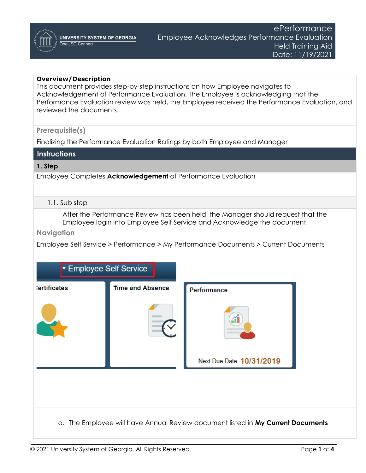## **Overview/Description**

This document provides step-by-step instructions on how Employee navigates to Acknowledgement of Performance Evaluation. The Employee is acknowledging that the Performance Evaluation review was held, the Employee received the Performance Evaluation, and reviewed the documents.

#### **Prerequisite(s)**

Finalizing the Performance Evaluation Ratings by both Employee and Manager

## **Instructions**

#### **1. Step**

Employee Completes **Acknowledgement** of Performance Evaluation

#### 1.1. Sub step

After the Performance Review has been held, the Manager should request that the Employee login into Employee Self Service and Acknowledge the document.

**Navigation**

Employee Self Service > Performance > My Performance Documents > Current Documents

| ▼ Employee Self Service |                         |                          |
|-------------------------|-------------------------|--------------------------|
| :ertificates            | <b>Time and Absence</b> | Performance              |
|                         |                         |                          |
|                         |                         | Next Due Date 10/31/2019 |
|                         |                         |                          |
|                         |                         |                          |

a. The Employee will have Annual Review document listed in **My Current Documents**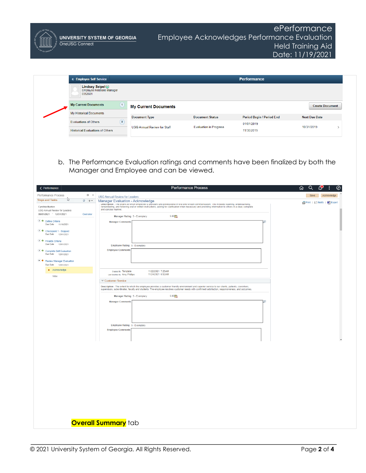| <b>Lindsey Seipel</b> ⊙<br><b>Employee Relations Manager</b><br>0352681<br><b>My Current Documents</b><br>(1)<br><b>Create Document</b><br><b>My Current Documents</b><br>My Historical Documents<br>Period Begin / Period End<br><b>Document Type</b><br><b>Document Status</b><br><b>Next Due Date</b><br>$\left( \begin{array}{c} 0 \end{array} \right)$<br><b>Evaluations of Others</b><br>01/01/2019<br><b>Evaluation in Progress</b><br>10/31/2019<br><b>USG Annual Review for Staff</b><br>$\rightarrow$<br><b>Historical Evaluations of Others</b><br>11/30/2019<br>b. The Performance Evaluation ratings and comments have been finalized by both the<br>Manager and Employee and can be viewed.<br><b>Performance Process</b><br>Q<br>< Performance<br>砎<br>$0 \times$<br>Save<br>Acknowledge<br><b>USG Annual Review for Leaders</b><br>ß<br>$C = 0$ $v$<br>Manager Evaluation - Acknowledge<br><b>图Print   El Notify   图</b> Export<br>Descripuon : The extent to which employee is proncient and professional in oral and whiteh communication. This includes istening, understanding,<br>Temembering, and following oral or written instructions; asking for clarific<br>Cynthia Burton<br>and concise manner.<br>06/01/2021 - 12/31/2021<br>Overview<br>5.00 <sub>1</sub><br>Manager Rating 5 - Exemplary<br>O O Define Criteria<br><b>Manager Comments</b><br>त्रो<br>Due Date 11/16/2021<br>C Checkpoint 1 - Skipped<br>Due Date 12/01/2021<br>$\odot$ <b><math>\bullet</math></b> Finalize Criteria<br>Due Date 12/01/2021<br>Employee Rating 5 - Exemplary<br><b>Employee Comments</b><br>© Complete Self Evaluation<br>Due Date 12/01/2021<br>⊙ ● Review Manager Evaluation<br>Due Date 12/01/2021<br>· Acknowledge<br>11/22/2021 7:25AM<br>Created By Template<br>Last Modified By Amy Phillips<br>11/24/2021 6:52AM<br>View<br>Customer Service<br>Description : The extent to which the employee provides a customer friendly environment and superior service to our clients, patients, coworkers,<br>supervisors, subordinates, faculty and students. The employee resolves customer needs with confirmed satisfaction, responsiveness, and outcomes.<br>Manager Rating 5 - Exemplary<br>5.00 晶<br><b>Manager Comments</b><br>Employee Rating 5 - Exemplary<br><b>Employee Comments</b> | < Employee Self Service       |  | <b>Performance</b> |  |
|------------------------------------------------------------------------------------------------------------------------------------------------------------------------------------------------------------------------------------------------------------------------------------------------------------------------------------------------------------------------------------------------------------------------------------------------------------------------------------------------------------------------------------------------------------------------------------------------------------------------------------------------------------------------------------------------------------------------------------------------------------------------------------------------------------------------------------------------------------------------------------------------------------------------------------------------------------------------------------------------------------------------------------------------------------------------------------------------------------------------------------------------------------------------------------------------------------------------------------------------------------------------------------------------------------------------------------------------------------------------------------------------------------------------------------------------------------------------------------------------------------------------------------------------------------------------------------------------------------------------------------------------------------------------------------------------------------------------------------------------------------------------------------------------------------------------------------------------------------------------------------------------------------------------------------------------------------------------------------------------------------------------------------------------------------------------------------------------------------------------------------------------------------------------------------------------------------------------------------------------------------------------------------------------------------------|-------------------------------|--|--------------------|--|
|                                                                                                                                                                                                                                                                                                                                                                                                                                                                                                                                                                                                                                                                                                                                                                                                                                                                                                                                                                                                                                                                                                                                                                                                                                                                                                                                                                                                                                                                                                                                                                                                                                                                                                                                                                                                                                                                                                                                                                                                                                                                                                                                                                                                                                                                                                                  |                               |  |                    |  |
|                                                                                                                                                                                                                                                                                                                                                                                                                                                                                                                                                                                                                                                                                                                                                                                                                                                                                                                                                                                                                                                                                                                                                                                                                                                                                                                                                                                                                                                                                                                                                                                                                                                                                                                                                                                                                                                                                                                                                                                                                                                                                                                                                                                                                                                                                                                  |                               |  |                    |  |
|                                                                                                                                                                                                                                                                                                                                                                                                                                                                                                                                                                                                                                                                                                                                                                                                                                                                                                                                                                                                                                                                                                                                                                                                                                                                                                                                                                                                                                                                                                                                                                                                                                                                                                                                                                                                                                                                                                                                                                                                                                                                                                                                                                                                                                                                                                                  |                               |  |                    |  |
|                                                                                                                                                                                                                                                                                                                                                                                                                                                                                                                                                                                                                                                                                                                                                                                                                                                                                                                                                                                                                                                                                                                                                                                                                                                                                                                                                                                                                                                                                                                                                                                                                                                                                                                                                                                                                                                                                                                                                                                                                                                                                                                                                                                                                                                                                                                  |                               |  |                    |  |
|                                                                                                                                                                                                                                                                                                                                                                                                                                                                                                                                                                                                                                                                                                                                                                                                                                                                                                                                                                                                                                                                                                                                                                                                                                                                                                                                                                                                                                                                                                                                                                                                                                                                                                                                                                                                                                                                                                                                                                                                                                                                                                                                                                                                                                                                                                                  |                               |  |                    |  |
|                                                                                                                                                                                                                                                                                                                                                                                                                                                                                                                                                                                                                                                                                                                                                                                                                                                                                                                                                                                                                                                                                                                                                                                                                                                                                                                                                                                                                                                                                                                                                                                                                                                                                                                                                                                                                                                                                                                                                                                                                                                                                                                                                                                                                                                                                                                  |                               |  |                    |  |
|                                                                                                                                                                                                                                                                                                                                                                                                                                                                                                                                                                                                                                                                                                                                                                                                                                                                                                                                                                                                                                                                                                                                                                                                                                                                                                                                                                                                                                                                                                                                                                                                                                                                                                                                                                                                                                                                                                                                                                                                                                                                                                                                                                                                                                                                                                                  |                               |  |                    |  |
|                                                                                                                                                                                                                                                                                                                                                                                                                                                                                                                                                                                                                                                                                                                                                                                                                                                                                                                                                                                                                                                                                                                                                                                                                                                                                                                                                                                                                                                                                                                                                                                                                                                                                                                                                                                                                                                                                                                                                                                                                                                                                                                                                                                                                                                                                                                  | Performance Process           |  |                    |  |
|                                                                                                                                                                                                                                                                                                                                                                                                                                                                                                                                                                                                                                                                                                                                                                                                                                                                                                                                                                                                                                                                                                                                                                                                                                                                                                                                                                                                                                                                                                                                                                                                                                                                                                                                                                                                                                                                                                                                                                                                                                                                                                                                                                                                                                                                                                                  | <b>Steps and Tasks</b>        |  |                    |  |
|                                                                                                                                                                                                                                                                                                                                                                                                                                                                                                                                                                                                                                                                                                                                                                                                                                                                                                                                                                                                                                                                                                                                                                                                                                                                                                                                                                                                                                                                                                                                                                                                                                                                                                                                                                                                                                                                                                                                                                                                                                                                                                                                                                                                                                                                                                                  | USG Annual Review for Leaders |  |                    |  |
|                                                                                                                                                                                                                                                                                                                                                                                                                                                                                                                                                                                                                                                                                                                                                                                                                                                                                                                                                                                                                                                                                                                                                                                                                                                                                                                                                                                                                                                                                                                                                                                                                                                                                                                                                                                                                                                                                                                                                                                                                                                                                                                                                                                                                                                                                                                  |                               |  |                    |  |
|                                                                                                                                                                                                                                                                                                                                                                                                                                                                                                                                                                                                                                                                                                                                                                                                                                                                                                                                                                                                                                                                                                                                                                                                                                                                                                                                                                                                                                                                                                                                                                                                                                                                                                                                                                                                                                                                                                                                                                                                                                                                                                                                                                                                                                                                                                                  |                               |  |                    |  |
|                                                                                                                                                                                                                                                                                                                                                                                                                                                                                                                                                                                                                                                                                                                                                                                                                                                                                                                                                                                                                                                                                                                                                                                                                                                                                                                                                                                                                                                                                                                                                                                                                                                                                                                                                                                                                                                                                                                                                                                                                                                                                                                                                                                                                                                                                                                  |                               |  |                    |  |
|                                                                                                                                                                                                                                                                                                                                                                                                                                                                                                                                                                                                                                                                                                                                                                                                                                                                                                                                                                                                                                                                                                                                                                                                                                                                                                                                                                                                                                                                                                                                                                                                                                                                                                                                                                                                                                                                                                                                                                                                                                                                                                                                                                                                                                                                                                                  |                               |  |                    |  |
|                                                                                                                                                                                                                                                                                                                                                                                                                                                                                                                                                                                                                                                                                                                                                                                                                                                                                                                                                                                                                                                                                                                                                                                                                                                                                                                                                                                                                                                                                                                                                                                                                                                                                                                                                                                                                                                                                                                                                                                                                                                                                                                                                                                                                                                                                                                  |                               |  |                    |  |
|                                                                                                                                                                                                                                                                                                                                                                                                                                                                                                                                                                                                                                                                                                                                                                                                                                                                                                                                                                                                                                                                                                                                                                                                                                                                                                                                                                                                                                                                                                                                                                                                                                                                                                                                                                                                                                                                                                                                                                                                                                                                                                                                                                                                                                                                                                                  |                               |  |                    |  |
|                                                                                                                                                                                                                                                                                                                                                                                                                                                                                                                                                                                                                                                                                                                                                                                                                                                                                                                                                                                                                                                                                                                                                                                                                                                                                                                                                                                                                                                                                                                                                                                                                                                                                                                                                                                                                                                                                                                                                                                                                                                                                                                                                                                                                                                                                                                  |                               |  |                    |  |
|                                                                                                                                                                                                                                                                                                                                                                                                                                                                                                                                                                                                                                                                                                                                                                                                                                                                                                                                                                                                                                                                                                                                                                                                                                                                                                                                                                                                                                                                                                                                                                                                                                                                                                                                                                                                                                                                                                                                                                                                                                                                                                                                                                                                                                                                                                                  |                               |  |                    |  |
|                                                                                                                                                                                                                                                                                                                                                                                                                                                                                                                                                                                                                                                                                                                                                                                                                                                                                                                                                                                                                                                                                                                                                                                                                                                                                                                                                                                                                                                                                                                                                                                                                                                                                                                                                                                                                                                                                                                                                                                                                                                                                                                                                                                                                                                                                                                  |                               |  |                    |  |
|                                                                                                                                                                                                                                                                                                                                                                                                                                                                                                                                                                                                                                                                                                                                                                                                                                                                                                                                                                                                                                                                                                                                                                                                                                                                                                                                                                                                                                                                                                                                                                                                                                                                                                                                                                                                                                                                                                                                                                                                                                                                                                                                                                                                                                                                                                                  |                               |  |                    |  |
|                                                                                                                                                                                                                                                                                                                                                                                                                                                                                                                                                                                                                                                                                                                                                                                                                                                                                                                                                                                                                                                                                                                                                                                                                                                                                                                                                                                                                                                                                                                                                                                                                                                                                                                                                                                                                                                                                                                                                                                                                                                                                                                                                                                                                                                                                                                  |                               |  |                    |  |
|                                                                                                                                                                                                                                                                                                                                                                                                                                                                                                                                                                                                                                                                                                                                                                                                                                                                                                                                                                                                                                                                                                                                                                                                                                                                                                                                                                                                                                                                                                                                                                                                                                                                                                                                                                                                                                                                                                                                                                                                                                                                                                                                                                                                                                                                                                                  |                               |  |                    |  |
|                                                                                                                                                                                                                                                                                                                                                                                                                                                                                                                                                                                                                                                                                                                                                                                                                                                                                                                                                                                                                                                                                                                                                                                                                                                                                                                                                                                                                                                                                                                                                                                                                                                                                                                                                                                                                                                                                                                                                                                                                                                                                                                                                                                                                                                                                                                  |                               |  |                    |  |
|                                                                                                                                                                                                                                                                                                                                                                                                                                                                                                                                                                                                                                                                                                                                                                                                                                                                                                                                                                                                                                                                                                                                                                                                                                                                                                                                                                                                                                                                                                                                                                                                                                                                                                                                                                                                                                                                                                                                                                                                                                                                                                                                                                                                                                                                                                                  |                               |  |                    |  |
|                                                                                                                                                                                                                                                                                                                                                                                                                                                                                                                                                                                                                                                                                                                                                                                                                                                                                                                                                                                                                                                                                                                                                                                                                                                                                                                                                                                                                                                                                                                                                                                                                                                                                                                                                                                                                                                                                                                                                                                                                                                                                                                                                                                                                                                                                                                  |                               |  |                    |  |
|                                                                                                                                                                                                                                                                                                                                                                                                                                                                                                                                                                                                                                                                                                                                                                                                                                                                                                                                                                                                                                                                                                                                                                                                                                                                                                                                                                                                                                                                                                                                                                                                                                                                                                                                                                                                                                                                                                                                                                                                                                                                                                                                                                                                                                                                                                                  |                               |  |                    |  |
|                                                                                                                                                                                                                                                                                                                                                                                                                                                                                                                                                                                                                                                                                                                                                                                                                                                                                                                                                                                                                                                                                                                                                                                                                                                                                                                                                                                                                                                                                                                                                                                                                                                                                                                                                                                                                                                                                                                                                                                                                                                                                                                                                                                                                                                                                                                  |                               |  |                    |  |
|                                                                                                                                                                                                                                                                                                                                                                                                                                                                                                                                                                                                                                                                                                                                                                                                                                                                                                                                                                                                                                                                                                                                                                                                                                                                                                                                                                                                                                                                                                                                                                                                                                                                                                                                                                                                                                                                                                                                                                                                                                                                                                                                                                                                                                                                                                                  |                               |  |                    |  |
|                                                                                                                                                                                                                                                                                                                                                                                                                                                                                                                                                                                                                                                                                                                                                                                                                                                                                                                                                                                                                                                                                                                                                                                                                                                                                                                                                                                                                                                                                                                                                                                                                                                                                                                                                                                                                                                                                                                                                                                                                                                                                                                                                                                                                                                                                                                  |                               |  |                    |  |
|                                                                                                                                                                                                                                                                                                                                                                                                                                                                                                                                                                                                                                                                                                                                                                                                                                                                                                                                                                                                                                                                                                                                                                                                                                                                                                                                                                                                                                                                                                                                                                                                                                                                                                                                                                                                                                                                                                                                                                                                                                                                                                                                                                                                                                                                                                                  |                               |  |                    |  |
|                                                                                                                                                                                                                                                                                                                                                                                                                                                                                                                                                                                                                                                                                                                                                                                                                                                                                                                                                                                                                                                                                                                                                                                                                                                                                                                                                                                                                                                                                                                                                                                                                                                                                                                                                                                                                                                                                                                                                                                                                                                                                                                                                                                                                                                                                                                  |                               |  |                    |  |
|                                                                                                                                                                                                                                                                                                                                                                                                                                                                                                                                                                                                                                                                                                                                                                                                                                                                                                                                                                                                                                                                                                                                                                                                                                                                                                                                                                                                                                                                                                                                                                                                                                                                                                                                                                                                                                                                                                                                                                                                                                                                                                                                                                                                                                                                                                                  |                               |  |                    |  |
|                                                                                                                                                                                                                                                                                                                                                                                                                                                                                                                                                                                                                                                                                                                                                                                                                                                                                                                                                                                                                                                                                                                                                                                                                                                                                                                                                                                                                                                                                                                                                                                                                                                                                                                                                                                                                                                                                                                                                                                                                                                                                                                                                                                                                                                                                                                  |                               |  |                    |  |
| <b>Overall Summary</b> tab                                                                                                                                                                                                                                                                                                                                                                                                                                                                                                                                                                                                                                                                                                                                                                                                                                                                                                                                                                                                                                                                                                                                                                                                                                                                                                                                                                                                                                                                                                                                                                                                                                                                                                                                                                                                                                                                                                                                                                                                                                                                                                                                                                                                                                                                                       |                               |  |                    |  |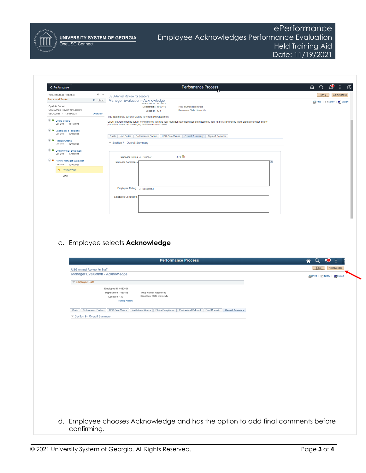

**UNIVERSITY SYSTEM OF GEORGIA** OneUSG Connect

# ePerformance Employee Acknowledges Performance Evaluation Held Training Aid Date: 11/19/2021

| < Performance                                            |                                  |                                                                                                                                                           | Performance Process              | Q<br>⋒                              |
|----------------------------------------------------------|----------------------------------|-----------------------------------------------------------------------------------------------------------------------------------------------------------|----------------------------------|-------------------------------------|
| Performance Process                                      | $\circ$<br>$\ll$                 | <b>USG Annual Review for Leaders</b>                                                                                                                      |                                  | [ Save ]<br>Acknowledge             |
| <b>Steps and Tasks</b>                                   | $C = 0$ $v$                      | Manager Evaluation - Acknowledge                                                                                                                          |                                  | <b>图Print   □ Notify   图</b> Export |
| Cynthia Burton                                           |                                  | Department 1060416                                                                                                                                        | <b>HRS-Human Resources</b>       |                                     |
| USG Annual Review for Leaders<br>06/01/2021 - 12/31/2021 | Overview                         | Location 430                                                                                                                                              | <b>Kennesaw State University</b> |                                     |
|                                                          |                                  | This document is currently waiting for your acknowledgment.                                                                                               |                                  |                                     |
| O O Define Criteria                                      |                                  | Select the Acknowledge button to confirm that you and your manager have discussed this document. Your name will be placed in the signature section on the |                                  |                                     |
| Due Date 11/16/2021                                      |                                  | printed document acknowledging that the review was held.                                                                                                  |                                  |                                     |
| © Checkpoint 1 - Skipped                                 |                                  |                                                                                                                                                           |                                  |                                     |
| Due Date 12/01/2021                                      |                                  | Goals Job Duties Performance Factors USG Core Values Overall Summary Sign-off Remarks                                                                     |                                  |                                     |
| O C Finalize Criteria                                    |                                  |                                                                                                                                                           |                                  |                                     |
| Due Date 12/01/2021                                      |                                  | ▼ Section 7 - Overall Summary                                                                                                                             |                                  |                                     |
| C Complete Self Evaluation                               |                                  |                                                                                                                                                           |                                  |                                     |
| Due Date 12/01/2021                                      |                                  | 3.75 晶<br>Manager Rating 4 - Superior                                                                                                                     |                                  |                                     |
| Review Manager Evaluation                                |                                  | <b>Manager Comments</b>                                                                                                                                   |                                  | $\overline{a}$                      |
| Due Date 12/01/2021                                      |                                  |                                                                                                                                                           |                                  |                                     |
| $\bullet$ Acknowledge                                    |                                  |                                                                                                                                                           |                                  |                                     |
| View                                                     |                                  |                                                                                                                                                           |                                  |                                     |
|                                                          |                                  |                                                                                                                                                           |                                  |                                     |
|                                                          |                                  |                                                                                                                                                           |                                  |                                     |
|                                                          |                                  | Employee Rating 3 - Successful                                                                                                                            |                                  |                                     |
|                                                          |                                  |                                                                                                                                                           |                                  |                                     |
|                                                          |                                  | <b>Employee Comments</b>                                                                                                                                  |                                  |                                     |
|                                                          |                                  |                                                                                                                                                           |                                  |                                     |
|                                                          |                                  |                                                                                                                                                           |                                  |                                     |
|                                                          |                                  |                                                                                                                                                           |                                  |                                     |
|                                                          |                                  |                                                                                                                                                           |                                  |                                     |
|                                                          |                                  |                                                                                                                                                           |                                  |                                     |
|                                                          |                                  |                                                                                                                                                           |                                  |                                     |
|                                                          |                                  | <b>Performance Process</b>                                                                                                                                |                                  | 73)<br>Â<br>u                       |
|                                                          |                                  |                                                                                                                                                           |                                  |                                     |
| <b>USG Annual Review for Staff</b>                       |                                  |                                                                                                                                                           |                                  | Save<br>Acknowledge                 |
|                                                          | Manager Evaluation - Acknowledge |                                                                                                                                                           |                                  |                                     |
|                                                          |                                  |                                                                                                                                                           |                                  | Print   El Notify   88 Export       |
| ▼ Employee Data                                          |                                  |                                                                                                                                                           |                                  |                                     |
|                                                          |                                  | Employee ID 0352681                                                                                                                                       |                                  |                                     |
|                                                          |                                  | Department 1060416<br>HRS-Human Resources                                                                                                                 |                                  |                                     |
|                                                          |                                  | Kennesaw State University<br>Location 430                                                                                                                 |                                  |                                     |
|                                                          |                                  | <b>Rating History</b>                                                                                                                                     |                                  |                                     |
|                                                          |                                  |                                                                                                                                                           |                                  |                                     |
|                                                          |                                  | Goals Performance Factors USG Core Values Institutional Values Ethics Compliance Professional Dvlpmnt Final Remarks Overall Summary                       |                                  |                                     |
| Gection 9 - Overall Summary                              |                                  |                                                                                                                                                           |                                  |                                     |
|                                                          |                                  |                                                                                                                                                           |                                  |                                     |
|                                                          |                                  |                                                                                                                                                           |                                  |                                     |
|                                                          |                                  |                                                                                                                                                           |                                  |                                     |
|                                                          |                                  |                                                                                                                                                           |                                  |                                     |
|                                                          |                                  |                                                                                                                                                           |                                  |                                     |
|                                                          |                                  |                                                                                                                                                           |                                  |                                     |
|                                                          |                                  |                                                                                                                                                           |                                  |                                     |
|                                                          |                                  |                                                                                                                                                           |                                  |                                     |
|                                                          |                                  |                                                                                                                                                           |                                  |                                     |
|                                                          |                                  |                                                                                                                                                           |                                  |                                     |
|                                                          |                                  |                                                                                                                                                           |                                  |                                     |
|                                                          |                                  |                                                                                                                                                           |                                  |                                     |
|                                                          |                                  |                                                                                                                                                           |                                  |                                     |
|                                                          |                                  |                                                                                                                                                           |                                  |                                     |
|                                                          |                                  |                                                                                                                                                           |                                  |                                     |
|                                                          |                                  |                                                                                                                                                           |                                  |                                     |
|                                                          |                                  |                                                                                                                                                           |                                  |                                     |
|                                                          |                                  |                                                                                                                                                           |                                  |                                     |
|                                                          |                                  |                                                                                                                                                           |                                  |                                     |
|                                                          |                                  | d. Employee chooses Acknowledge and has the option to add final comments before                                                                           |                                  |                                     |